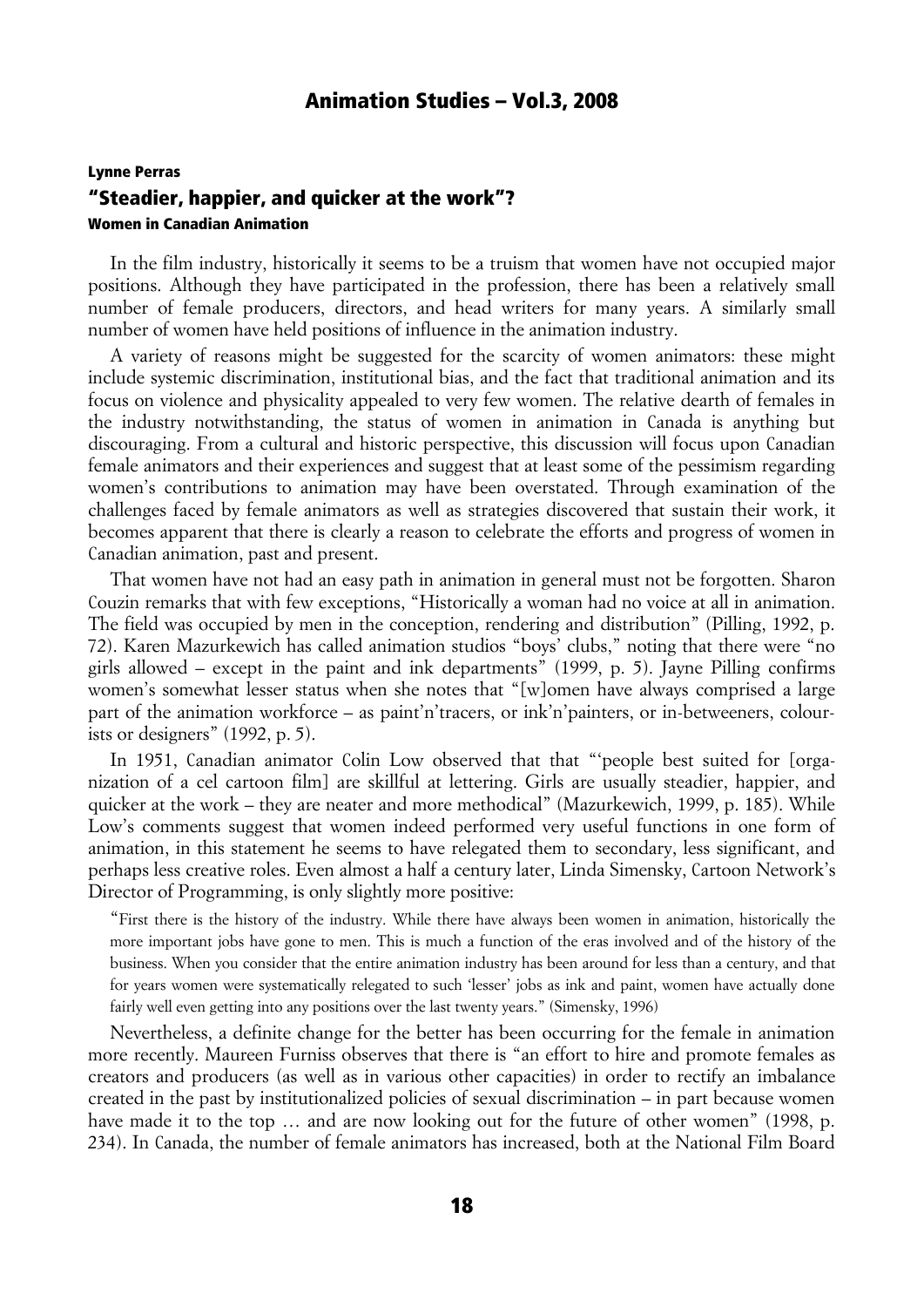# Lynne Perras "Steadier, happier, and quicker at the work"? Women in Canadian Animation

In the film industry, historically it seems to be a truism that women have not occupied major positions. Although they have participated in the profession, there has been a relatively small number of female producers, directors, and head writers for many years. A similarly small number of women have held positions of influence in the animation industry.

A variety of reasons might be suggested for the scarcity of women animators: these might include systemic discrimination, institutional bias, and the fact that traditional animation and its focus on violence and physicality appealed to very few women. The relative dearth of females in the industry notwithstanding, the status of women in animation in Canada is anything but discouraging. From a cultural and historic perspective, this discussion will focus upon Canadian female animators and their experiences and suggest that at least some of the pessimism regarding women's contributions to animation may have been overstated. Through examination of the challenges faced by female animators as well as strategies discovered that sustain their work, it becomes apparent that there is clearly a reason to celebrate the efforts and progress of women in Canadian animation, past and present.

That women have not had an easy path in animation in general must not be forgotten. Sharon Couzin remarks that with few exceptions, "Historically a woman had no voice at all in animation. The field was occupied by men in the conception, rendering and distribution" (Pilling, 1992, p. 72). Karen Mazurkewich has called animation studios "boys' clubs," noting that there were "no girls allowed – except in the paint and ink departments" (1999, p. 5). Jayne Pilling confirms women's somewhat lesser status when she notes that "[w]omen have always comprised a large part of the animation workforce – as paint'n'tracers, or ink'n'painters, or in-betweeners, colourists or designers" (1992, p. 5).

In 1951, Canadian animator Colin Low observed that that "people best suited for [organization of a cel cartoon film] are skillful at lettering. Girls are usually steadier, happier, and quicker at the work – they are neater and more methodical" (Mazurkewich, 1999, p. 185). While Low's comments suggest that women indeed performed very useful functions in one form of animation, in this statement he seems to have relegated them to secondary, less significant, and perhaps less creative roles. Even almost a half a century later, Linda Simensky, Cartoon Network's Director of Programming, is only slightly more positive:

"First there is the history of the industry. While there have always been women in animation, historically the more important jobs have gone to men. This is much a function of the eras involved and of the history of the business. When you consider that the entire animation industry has been around for less than a century, and that for years women were systematically relegated to such 'lesser' jobs as ink and paint, women have actually done fairly well even getting into any positions over the last twenty years." (Simensky, 1996)

Nevertheless, a definite change for the better has been occurring for the female in animation more recently. Maureen Furniss observes that there is "an effort to hire and promote females as creators and producers (as well as in various other capacities) in order to rectify an imbalance created in the past by institutionalized policies of sexual discrimination – in part because women have made it to the top ... and are now looking out for the future of other women" (1998, p. 234). In Canada, the number of female animators has increased, both at the National Film Board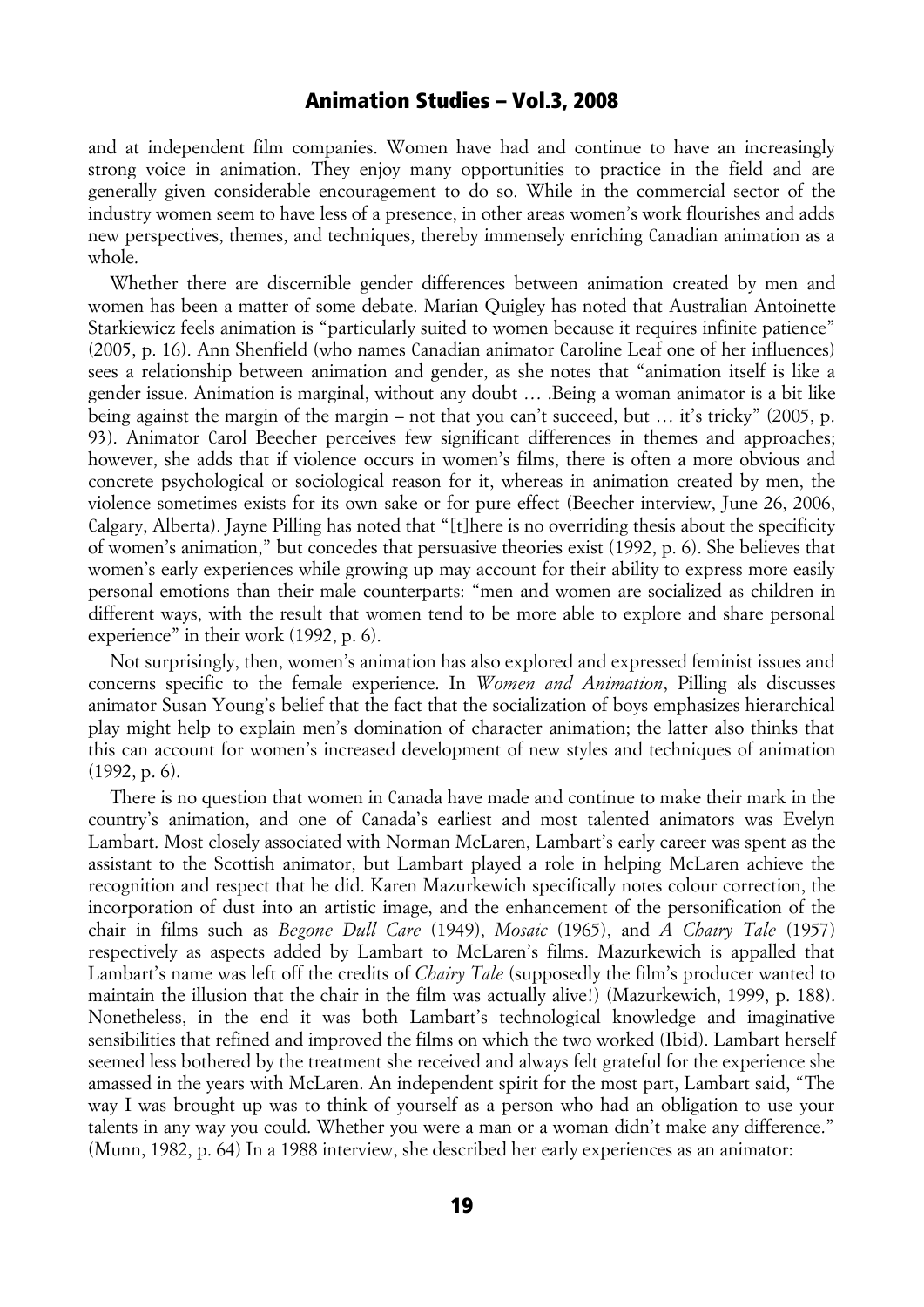and at independent film companies. Women have had and continue to have an increasingly strong voice in animation. They enjoy many opportunities to practice in the field and are generally given considerable encouragement to do so. While in the commercial sector of the industry women seem to have less of a presence, in other areas women's work flourishes and adds new perspectives, themes, and techniques, thereby immensely enriching Canadian animation as a whole.

Whether there are discernible gender differences between animation created by men and women has been a matter of some debate. Marian Quigley has noted that Australian Antoinette Starkiewicz feels animation is "particularly suited to women because it requires infinite patience" (2005, p. 16). Ann Shenfield (who names Canadian animator Caroline Leaf one of her influences) sees a relationship between animation and gender, as she notes that "animation itself is like a gender issue. Animation is marginal, without any doubt … .Being a woman animator is a bit like being against the margin of the margin – not that you can't succeed, but … it's tricky" (2005, p. 93). Animator Carol Beecher perceives few significant differences in themes and approaches; however, she adds that if violence occurs in women's films, there is often a more obvious and concrete psychological or sociological reason for it, whereas in animation created by men, the violence sometimes exists for its own sake or for pure effect (Beecher interview, June 26, 2006, Calgary, Alberta). Jayne Pilling has noted that "[t]here is no overriding thesis about the specificity of women's animation," but concedes that persuasive theories exist (1992, p. 6). She believes that women's early experiences while growing up may account for their ability to express more easily personal emotions than their male counterparts: "men and women are socialized as children in different ways, with the result that women tend to be more able to explore and share personal experience" in their work (1992, p. 6).

Not surprisingly, then, women's animation has also explored and expressed feminist issues and concerns specific to the female experience. In *Women and Animation*, Pilling als discusses animator Susan Young's belief that the fact that the socialization of boys emphasizes hierarchical play might help to explain men's domination of character animation; the latter also thinks that this can account for women's increased development of new styles and techniques of animation (1992, p. 6).

There is no question that women in Canada have made and continue to make their mark in the country's animation, and one of Canada's earliest and most talented animators was Evelyn Lambart. Most closely associated with Norman McLaren, Lambart's early career was spent as the assistant to the Scottish animator, but Lambart played a role in helping McLaren achieve the recognition and respect that he did. Karen Mazurkewich specifically notes colour correction, the incorporation of dust into an artistic image, and the enhancement of the personification of the chair in films such as *Begone Dull Care* (1949), *Mosaic* (1965), and *A Chairy Tale* (1957) respectively as aspects added by Lambart to McLaren's films. Mazurkewich is appalled that Lambart's name was left off the credits of *Chairy Tale* (supposedly the film's producer wanted to maintain the illusion that the chair in the film was actually alive!) (Mazurkewich, 1999, p. 188). Nonetheless, in the end it was both Lambart's technological knowledge and imaginative sensibilities that refined and improved the films on which the two worked (Ibid). Lambart herself seemed less bothered by the treatment she received and always felt grateful for the experience she amassed in the years with McLaren. An independent spirit for the most part, Lambart said, "The way I was brought up was to think of yourself as a person who had an obligation to use your talents in any way you could. Whether you were a man or a woman didn't make any difference." (Munn, 1982, p. 64) In a 1988 interview, she described her early experiences as an animator: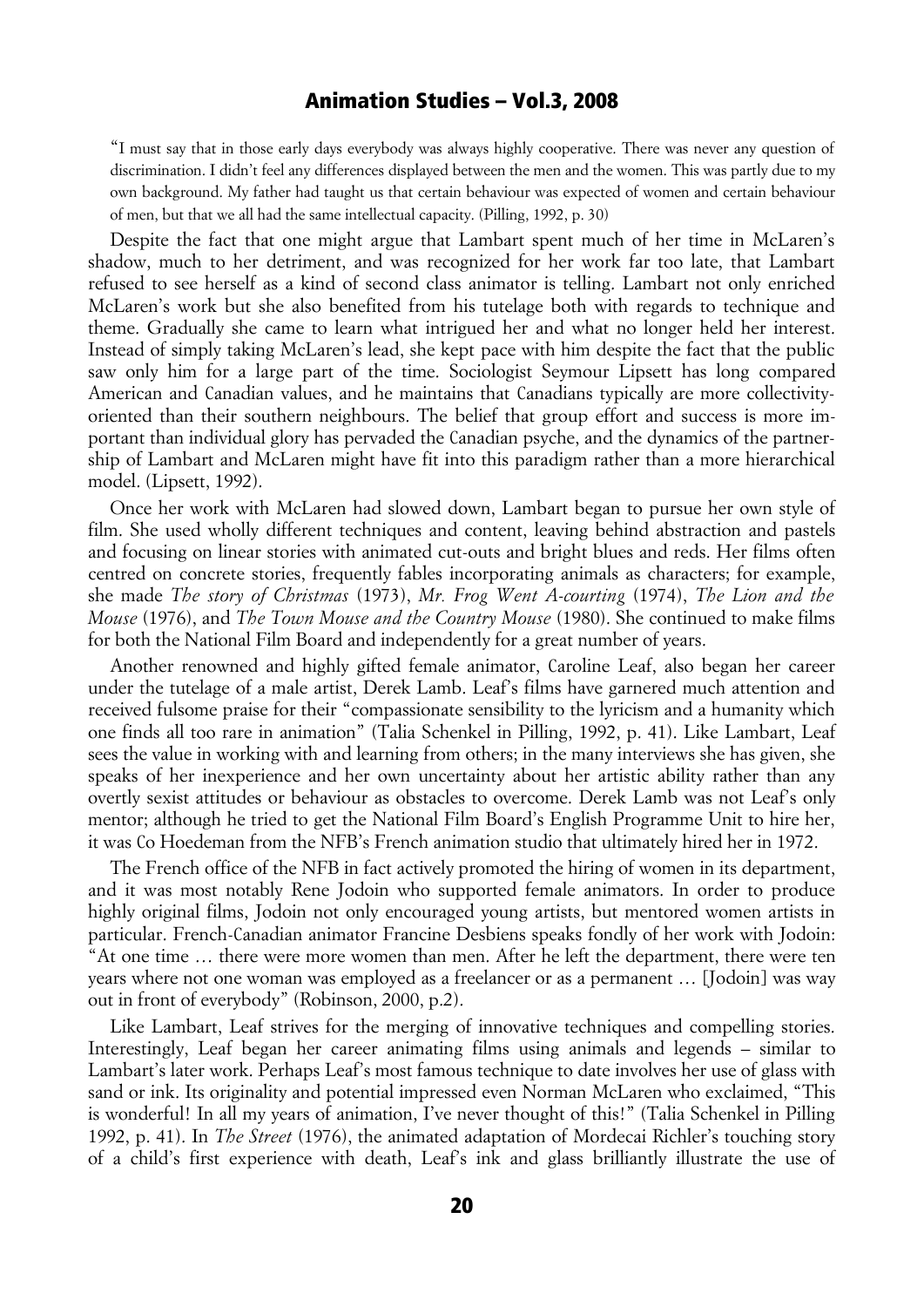"I must say that in those early days everybody was always highly cooperative. There was never any question of discrimination. I didn't feel any differences displayed between the men and the women. This was partly due to my own background. My father had taught us that certain behaviour was expected of women and certain behaviour of men, but that we all had the same intellectual capacity. (Pilling, 1992, p. 30)

Despite the fact that one might argue that Lambart spent much of her time in McLaren's shadow, much to her detriment, and was recognized for her work far too late, that Lambart refused to see herself as a kind of second class animator is telling. Lambart not only enriched McLaren's work but she also benefited from his tutelage both with regards to technique and theme. Gradually she came to learn what intrigued her and what no longer held her interest. Instead of simply taking McLaren's lead, she kept pace with him despite the fact that the public saw only him for a large part of the time. Sociologist Seymour Lipsett has long compared American and Canadian values, and he maintains that Canadians typically are more collectivityoriented than their southern neighbours. The belief that group effort and success is more important than individual glory has pervaded the Canadian psyche, and the dynamics of the partnership of Lambart and McLaren might have fit into this paradigm rather than a more hierarchical model. (Lipsett, 1992).

Once her work with McLaren had slowed down, Lambart began to pursue her own style of film. She used wholly different techniques and content, leaving behind abstraction and pastels and focusing on linear stories with animated cut-outs and bright blues and reds. Her films often centred on concrete stories, frequently fables incorporating animals as characters; for example, she made *The story of Christmas* (1973), *Mr. Frog Went A-courting* (1974), *The Lion and the Mouse* (1976), and *The Town Mouse and the Country Mouse* (1980). She continued to make films for both the National Film Board and independently for a great number of years.

Another renowned and highly gifted female animator, Caroline Leaf, also began her career under the tutelage of a male artist, Derek Lamb. Leaf's films have garnered much attention and received fulsome praise for their "compassionate sensibility to the lyricism and a humanity which one finds all too rare in animation" (Talia Schenkel in Pilling, 1992, p. 41). Like Lambart, Leaf sees the value in working with and learning from others; in the many interviews she has given, she speaks of her inexperience and her own uncertainty about her artistic ability rather than any overtly sexist attitudes or behaviour as obstacles to overcome. Derek Lamb was not Leaf's only mentor; although he tried to get the National Film Board's English Programme Unit to hire her, it was Co Hoedeman from the NFB's French animation studio that ultimately hired her in 1972.

The French office of the NFB in fact actively promoted the hiring of women in its department, and it was most notably Rene Jodoin who supported female animators. In order to produce highly original films, Jodoin not only encouraged young artists, but mentored women artists in particular. French-Canadian animator Francine Desbiens speaks fondly of her work with Jodoin: "At one time … there were more women than men. After he left the department, there were ten years where not one woman was employed as a freelancer or as a permanent … [Jodoin] was way out in front of everybody" (Robinson, 2000, p.2).

Like Lambart, Leaf strives for the merging of innovative techniques and compelling stories. Interestingly, Leaf began her career animating films using animals and legends – similar to Lambart's later work. Perhaps Leaf's most famous technique to date involves her use of glass with sand or ink. Its originality and potential impressed even Norman McLaren who exclaimed, "This is wonderful! In all my years of animation, I've never thought of this!" (Talia Schenkel in Pilling 1992, p. 41). In *The Street* (1976), the animated adaptation of Mordecai Richler's touching story of a child's first experience with death, Leaf's ink and glass brilliantly illustrate the use of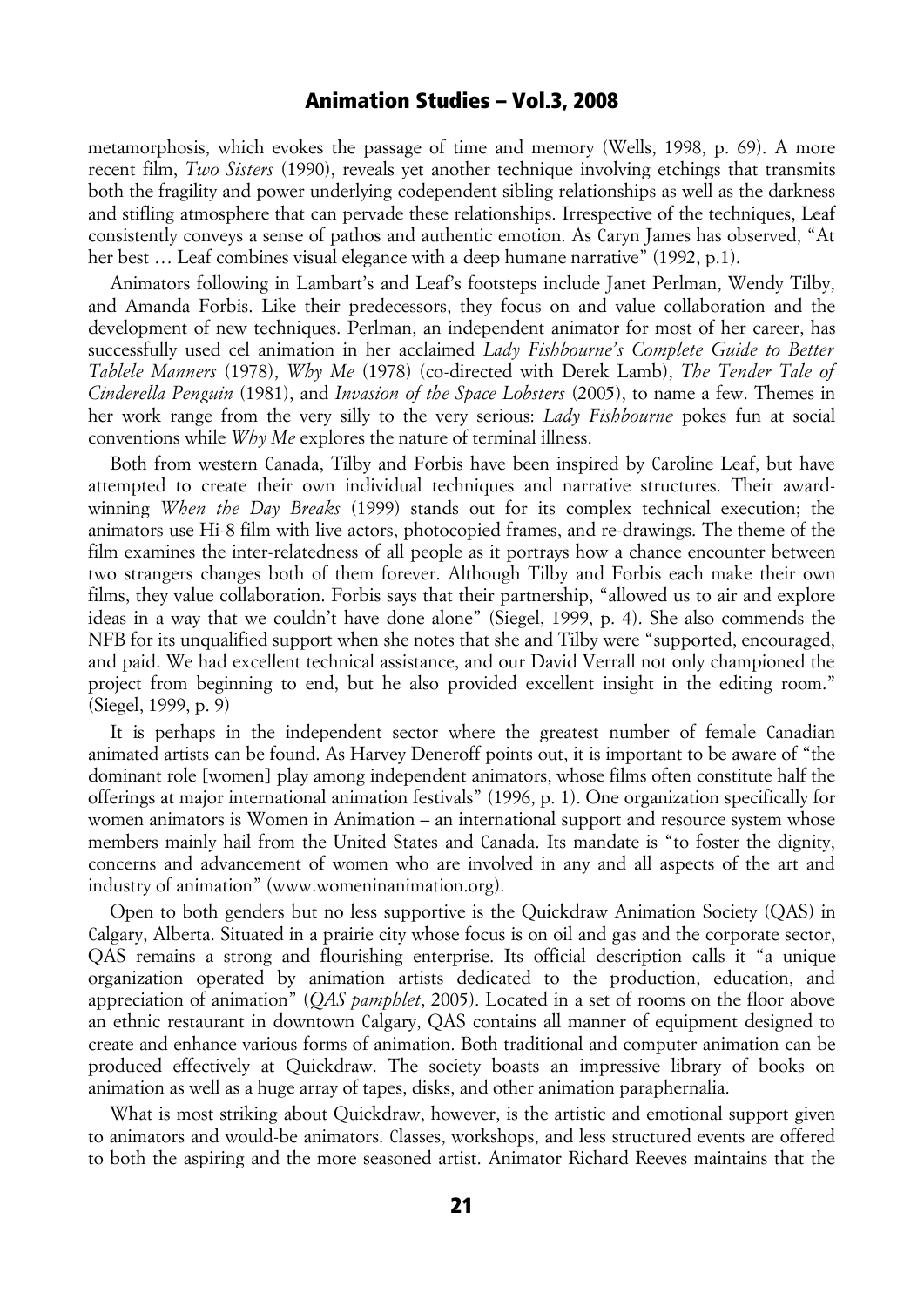metamorphosis, which evokes the passage of time and memory (Wells, 1998, p. 69). A more recent film, *Two Sisters* (1990), reveals yet another technique involving etchings that transmits both the fragility and power underlying codependent sibling relationships as well as the darkness and stifling atmosphere that can pervade these relationships. Irrespective of the techniques, Leaf consistently conveys a sense of pathos and authentic emotion. As Caryn James has observed, "At her best ... Leaf combines visual elegance with a deep humane narrative" (1992, p.1).

Animators following in Lambart's and Leaf's footsteps include Janet Perlman, Wendy Tilby, and Amanda Forbis. Like their predecessors, they focus on and value collaboration and the development of new techniques. Perlman, an independent animator for most of her career, has successfully used cel animation in her acclaimed *Lady Fishbourne's Complete Guide to Better Tablele Manners* (1978), *Why Me* (1978) (co-directed with Derek Lamb), *The Tender Tale of Cinderella Penguin* (1981), and *Invasion of the Space Lobsters* (2005), to name a few. Themes in her work range from the very silly to the very serious: *Lady Fishbourne* pokes fun at social conventions while *Why Me* explores the nature of terminal illness.

Both from western Canada, Tilby and Forbis have been inspired by Caroline Leaf, but have attempted to create their own individual techniques and narrative structures. Their awardwinning *When the Day Breaks* (1999) stands out for its complex technical execution; the animators use Hi-8 film with live actors, photocopied frames, and re-drawings. The theme of the film examines the inter-relatedness of all people as it portrays how a chance encounter between two strangers changes both of them forever. Although Tilby and Forbis each make their own films, they value collaboration. Forbis says that their partnership, "allowed us to air and explore ideas in a way that we couldn't have done alone" (Siegel, 1999, p. 4). She also commends the NFB for its unqualified support when she notes that she and Tilby were "supported, encouraged, and paid. We had excellent technical assistance, and our David Verrall not only championed the project from beginning to end, but he also provided excellent insight in the editing room." (Siegel, 1999, p. 9)

It is perhaps in the independent sector where the greatest number of female Canadian animated artists can be found. As Harvey Deneroff points out, it is important to be aware of "the dominant role [women] play among independent animators, whose films often constitute half the offerings at major international animation festivals" (1996, p. 1). One organization specifically for women animators is Women in Animation – an international support and resource system whose members mainly hail from the United States and Canada. Its mandate is "to foster the dignity, concerns and advancement of women who are involved in any and all aspects of the art and industry of animation" (www.womeninanimation.org).

Open to both genders but no less supportive is the Quickdraw Animation Society (QAS) in Calgary, Alberta. Situated in a prairie city whose focus is on oil and gas and the corporate sector, QAS remains a strong and flourishing enterprise. Its official description calls it "a unique organization operated by animation artists dedicated to the production, education, and appreciation of animation" (*QAS pamphlet*, 2005). Located in a set of rooms on the floor above an ethnic restaurant in downtown Calgary, QAS contains all manner of equipment designed to create and enhance various forms of animation. Both traditional and computer animation can be produced effectively at Quickdraw. The society boasts an impressive library of books on animation as well as a huge array of tapes, disks, and other animation paraphernalia.

What is most striking about Quickdraw, however, is the artistic and emotional support given to animators and would-be animators. Classes, workshops, and less structured events are offered to both the aspiring and the more seasoned artist. Animator Richard Reeves maintains that the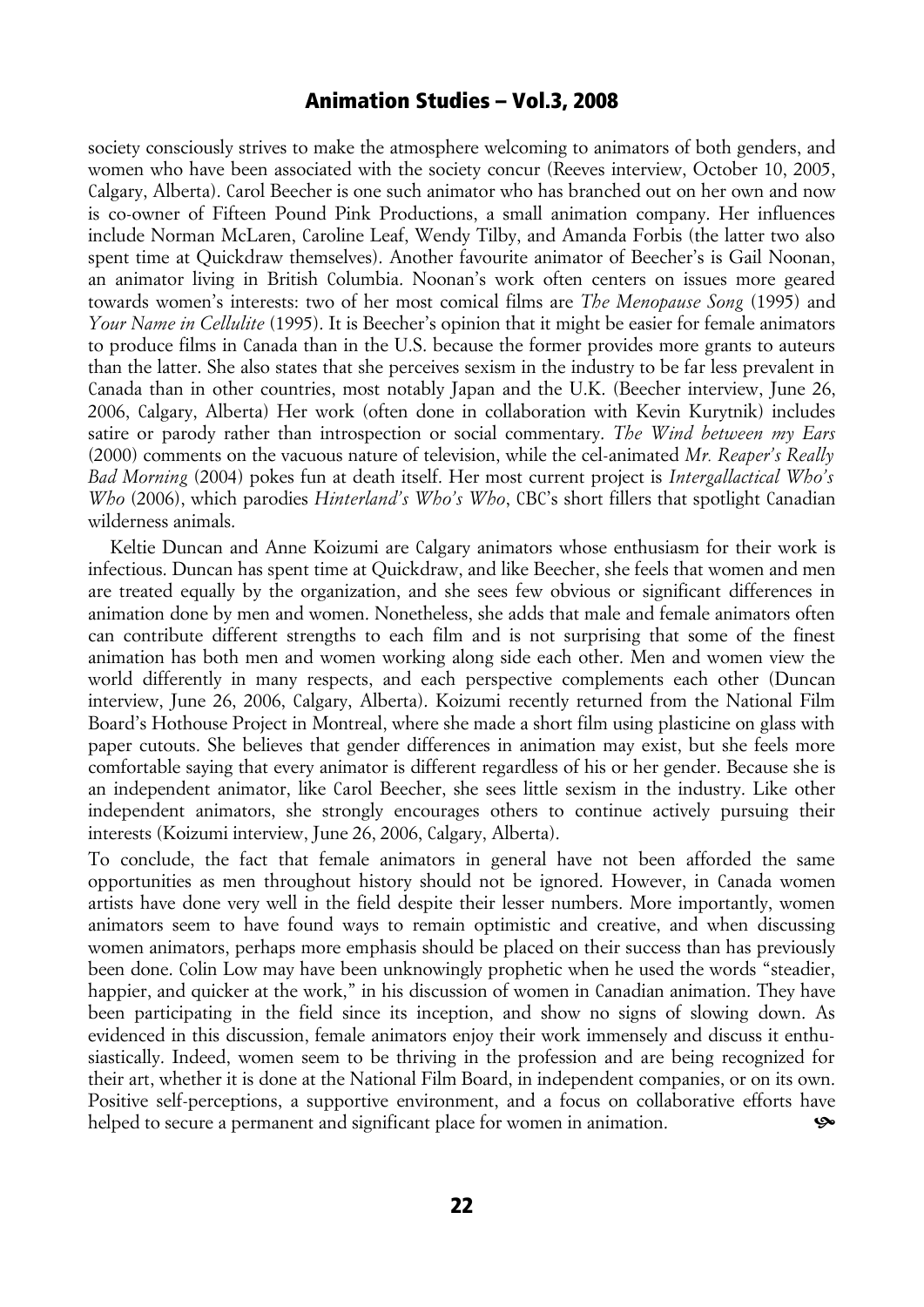society consciously strives to make the atmosphere welcoming to animators of both genders, and women who have been associated with the society concur (Reeves interview, October 10, 2005, Calgary, Alberta). Carol Beecher is one such animator who has branched out on her own and now is co-owner of Fifteen Pound Pink Productions, a small animation company. Her influences include Norman McLaren, Caroline Leaf, Wendy Tilby, and Amanda Forbis (the latter two also spent time at Quickdraw themselves). Another favourite animator of Beecher's is Gail Noonan, an animator living in British Columbia. Noonan's work often centers on issues more geared towards women's interests: two of her most comical films are *The Menopause Song* (1995) and *Your Name in Cellulite* (1995). It is Beecher's opinion that it might be easier for female animators to produce films in Canada than in the U.S. because the former provides more grants to auteurs than the latter. She also states that she perceives sexism in the industry to be far less prevalent in Canada than in other countries, most notably Japan and the U.K. (Beecher interview, June 26, 2006, Calgary, Alberta) Her work (often done in collaboration with Kevin Kurytnik) includes satire or parody rather than introspection or social commentary. *The Wind between my Ears* (2000) comments on the vacuous nature of television, while the cel-animated *Mr. Reaper's Really Bad Morning* (2004) pokes fun at death itself. Her most current project is *Intergallactical Who's Who* (2006), which parodies *Hinterland's Who's Who*, CBC's short fillers that spotlight Canadian wilderness animals.

Keltie Duncan and Anne Koizumi are Calgary animators whose enthusiasm for their work is infectious. Duncan has spent time at Quickdraw, and like Beecher, she feels that women and men are treated equally by the organization, and she sees few obvious or significant differences in animation done by men and women. Nonetheless, she adds that male and female animators often can contribute different strengths to each film and is not surprising that some of the finest animation has both men and women working along side each other. Men and women view the world differently in many respects, and each perspective complements each other (Duncan interview, June 26, 2006, Calgary, Alberta). Koizumi recently returned from the National Film Board's Hothouse Project in Montreal, where she made a short film using plasticine on glass with paper cutouts. She believes that gender differences in animation may exist, but she feels more comfortable saying that every animator is different regardless of his or her gender. Because she is an independent animator, like Carol Beecher, she sees little sexism in the industry. Like other independent animators, she strongly encourages others to continue actively pursuing their interests (Koizumi interview, June 26, 2006, Calgary, Alberta).

To conclude, the fact that female animators in general have not been afforded the same opportunities as men throughout history should not be ignored. However, in Canada women artists have done very well in the field despite their lesser numbers. More importantly, women animators seem to have found ways to remain optimistic and creative, and when discussing women animators, perhaps more emphasis should be placed on their success than has previously been done. Colin Low may have been unknowingly prophetic when he used the words "steadier, happier, and quicker at the work," in his discussion of women in Canadian animation. They have been participating in the field since its inception, and show no signs of slowing down. As evidenced in this discussion, female animators enjoy their work immensely and discuss it enthusiastically. Indeed, women seem to be thriving in the profession and are being recognized for their art, whether it is done at the National Film Board, in independent companies, or on its own. Positive self-perceptions, a supportive environment, and a focus on collaborative efforts have helped to secure a permanent and significant place for women in animation.